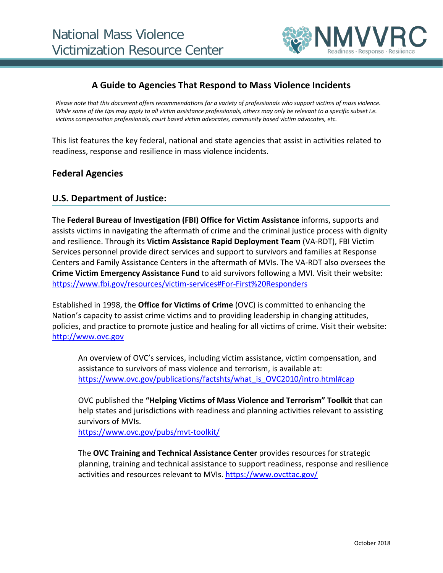

# **A Guide to Agencies That Respond to Mass Violence Incidents**

*Please note that this document offers recommendations for a variety of professionals who support victims of mass violence. While some of the tips may apply to all victim assistance professionals, others may only be relevant to a specific subset i.e. victims compensation professionals, court based victim advocates, community based victim advocates, etc.*

This list features the key federal, national and state agencies that assist in activities related to readiness, response and resilience in mass violence incidents.

### **Federal Agencies**

### **U.S. Department of Justice:**

The **Federal Bureau of Investigation (FBI) Office for Victim Assistance** informs, supports and assists victims in navigating the aftermath of crime and the criminal justice process with dignity and resilience. Through its **Victim Assistance Rapid Deployment Team** (VA-RDT), FBI Victim Services personnel provide direct services and support to survivors and families at Response Centers and Family Assistance Centers in the aftermath of MVIs. The VA-RDT also oversees the **Crime Victim Emergency Assistance Fund** to aid survivors following a MVI. Visit their website: <https://www.fbi.gov/resources/victim-services#For-First%20Responders>

Established in 1998, the **Office for Victims of Crime** (OVC) is committed to enhancing the Nation's capacity to assist crime victims and to providing leadership in changing attitudes, policies, and practice to promote justice and healing for all victims of crime. Visit their website: [http://www.ovc.gov](http://www.ovc.gov/)

An overview of OVC's services, including victim assistance, victim compensation, and assistance to survivors of mass violence and terrorism, is available at: [https://www.ovc.gov/publications/factshts/what\\_is\\_OVC2010/intro.html#cap](https://www.ovc.gov/publications/factshts/what_is_OVC2010/intro.html#cap)

OVC published the **"Helping Victims of Mass Violence and Terrorism" Toolkit** that can help states and jurisdictions with readiness and planning activities relevant to assisting survivors of MVIs.

<https://www.ovc.gov/pubs/mvt-toolkit/>

The **OVC Training and Technical Assistance Center** provides resources for strategic planning, training and technical assistance to support readiness, response and resilience activities and resources relevant to MVIs.<https://www.ovcttac.gov/>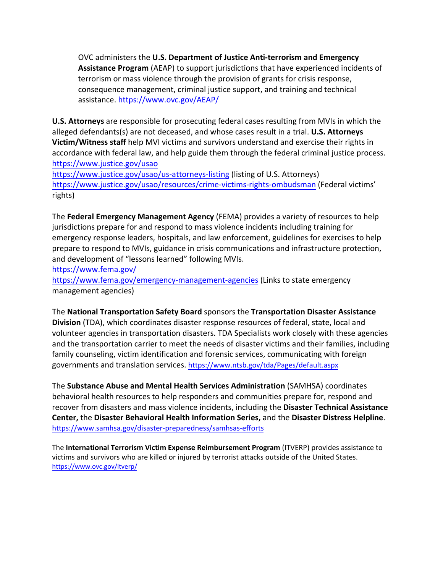OVC administers the **U.S. Department of Justice Anti-terrorism and Emergency Assistance Program** (AEAP) to support jurisdictions that have experienced incidents of terrorism or mass violence through the provision of grants for crisis response, consequence management, criminal justice support, and training and technical assistance. <https://www.ovc.gov/AEAP/>

**U.S. Attorneys** are responsible for prosecuting federal cases resulting from MVIs in which the alleged defendants(s) are not deceased, and whose cases result in a trial. **U.S. Attorneys Victim/Witness staff** help MVI victims and survivors understand and exercise their rights in accordance with federal law, and help guide them through the federal criminal justice process. <https://www.justice.gov/usao>

<https://www.justice.gov/usao/us-attorneys-listing> (listing of U.S. Attorneys) <https://www.justice.gov/usao/resources/crime-victims-rights-ombudsman> (Federal victims' rights)

The **Federal Emergency Management Agency** (FEMA) provides a variety of resources to help jurisdictions prepare for and respond to mass violence incidents including training for emergency response leaders, hospitals, and law enforcement, guidelines for exercises to help prepare to respond to MVIs, guidance in crisis communications and infrastructure protection, and development of "lessons learned" following MVIs.

<https://www.fema.gov/>

<https://www.fema.gov/emergency-management-agencies> (Links to state emergency management agencies)

The **National Transportation Safety Board** sponsors the **Transportation Disaster Assistance Division** (TDA), which coordinates disaster response resources of federal, state, local and volunteer agencies in transportation disasters. TDA Specialists work closely with these agencies and the transportation carrier to meet the needs of disaster victims and their families, including family counseling, victim identification and forensic services, communicating with foreign governments and translation services. <https://www.ntsb.gov/tda/Pages/default.aspx>

The **Substance Abuse and Mental Health Services Administration** (SAMHSA) coordinates behavioral health resources to help responders and communities prepare for, respond and recover from disasters and mass violence incidents, including the **Disaster Technical Assistance Center,** the **Disaster Behavioral Health Information Series,** and the **Disaster Distress Helpline**. <https://www.samhsa.gov/disaster-preparedness/samhsas-efforts>

The **International Terrorism Victim Expense Reimbursement Program** (ITVERP) provides assistance to victims and survivors who are killed or injured by terrorist attacks outside of the United States. <https://www.ovc.gov/itverp/>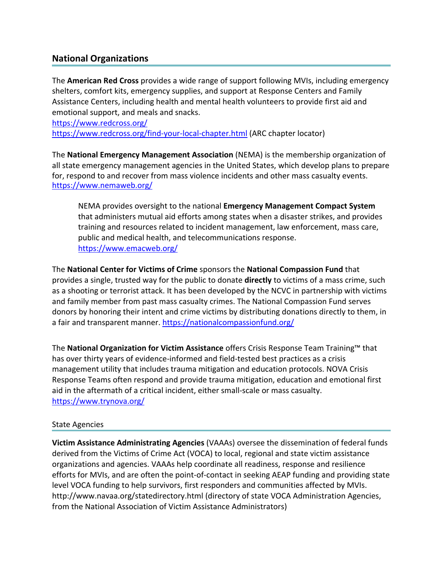# **National Organizations**

The **American Red Cross** provides a wide range of support following MVIs, including emergency shelters, comfort kits, emergency supplies, and support at Response Centers and Family Assistance Centers, including health and mental health volunteers to provide first aid and emotional support, and meals and snacks.

<https://www.redcross.org/> <https://www.redcross.org/find-your-local-chapter.html> (ARC chapter locator)

The **National Emergency Management Association** (NEMA) is the membership organization of all state emergency management agencies in the United States, which develop plans to prepare for, respond to and recover from mass violence incidents and other mass casualty events. <https://www.nemaweb.org/>

NEMA provides oversight to the national **Emergency Management Compact System**  that administers mutual aid efforts among states when a disaster strikes, and provides training and resources related to incident management, law enforcement, mass care, public and medical health, and telecommunications response. <https://www.emacweb.org/>

The **National Center for Victims of Crime** sponsors the **National Compassion Fund** that provides a single, trusted way for the public to donate **directly** to victims of a mass crime, such as a shooting or terrorist attack. It has been developed by the NCVC in partnership with victims and family member from past mass casualty crimes. The National Compassion Fund serves donors by honoring their intent and crime victims by distributing donations directly to them, in a fair and transparent manner.<https://nationalcompassionfund.org/>

The **National Organization for Victim Assistance** offers Crisis Response Team Training™ that has over thirty years of evidence-informed and field-tested best practices as a crisis management utility that includes trauma mitigation and education protocols. NOVA Crisis Response Teams often respond and provide trauma mitigation, education and emotional first aid in the aftermath of a critical incident, either small-scale or mass casualty. <https://www.trynova.org/>

#### State Agencies

**Victim Assistance Administrating Agencies** (VAAAs) oversee the dissemination of federal funds derived from the Victims of Crime Act (VOCA) to local, regional and state victim assistance organizations and agencies. VAAAs help coordinate all readiness, response and resilience efforts for MVIs, and are often the point-of-contact in seeking AEAP funding and providing state level VOCA funding to help survivors, first responders and communities affected by MVIs. <http://www.navaa.org/statedirectory.html>(directory of state VOCA Administration Agencies, from the National Association of Victim Assistance Administrators)